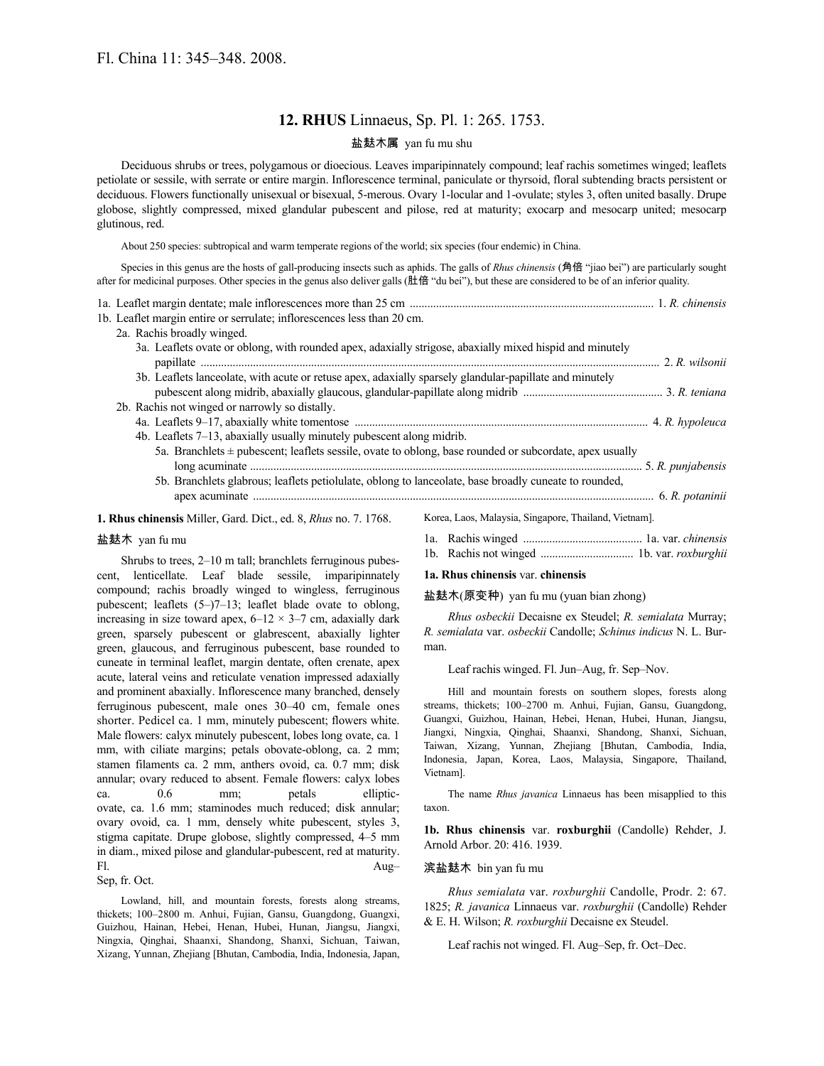# **12. RHUS** Linnaeus, Sp. Pl. 1: 265. 1753.

# 盐麸木属 yan fu mu shu

Deciduous shrubs or trees, polygamous or dioecious. Leaves imparipinnately compound; leaf rachis sometimes winged; leaflets petiolate or sessile, with serrate or entire margin. Inflorescence terminal, paniculate or thyrsoid, floral subtending bracts persistent or deciduous. Flowers functionally unisexual or bisexual, 5-merous. Ovary 1-locular and 1-ovulate; styles 3, often united basally. Drupe globose, slightly compressed, mixed glandular pubescent and pilose, red at maturity; exocarp and mesocarp united; mesocarp glutinous, red.

About 250 species: subtropical and warm temperate regions of the world; six species (four endemic) in China.

Species in this genus are the hosts of gall-producing insects such as aphids. The galls of *Rhus chinensis* (角倍 "jiao bei") are particularly sought after for medicinal purposes. Other species in the genus also deliver galls (肚倍 "du bei"), but these are considered to be of an inferior quality.

|  | 1b. Leaflet margin entire or serrulate; inflorescences less than 20 cm.                                     |  |
|--|-------------------------------------------------------------------------------------------------------------|--|
|  | 2a. Rachis broadly winged.                                                                                  |  |
|  | 3a. Leaflets ovate or oblong, with rounded apex, adaxially strigose, abaxially mixed hispid and minutely    |  |
|  |                                                                                                             |  |
|  | 3b. Leaflets lanceolate, with acute or retuse apex, adaxially sparsely glandular-papillate and minutely     |  |
|  |                                                                                                             |  |
|  | 2b. Rachis not winged or narrowly so distally.                                                              |  |
|  |                                                                                                             |  |
|  | 4b. Leaflets 7–13, abaxially usually minutely pubescent along midrib.                                       |  |
|  | 5a. Branchlets $\pm$ pubescent; leaflets sessile, ovate to oblong, base rounded or subcordate, apex usually |  |
|  |                                                                                                             |  |
|  | 5b. Branchlets glabrous; leaflets petiolulate, oblong to lanceolate, base broadly cuneate to rounded,       |  |
|  |                                                                                                             |  |
|  | 1 Dhug shineyarin Milley Caud Dist and 0 Dhuguen 7, 1760 - Voron Loop Molovgia Singapora Thoiland Viotnaml  |  |

**1. Rhus chinensis** Miller, Gard. Dict., ed. 8, *Rhus* no. 7. 1768.

# 盐麸木 yan fu mu

Shrubs to trees, 2–10 m tall; branchlets ferruginous pubescent, lenticellate. Leaf blade sessile, imparipinnately compound; rachis broadly winged to wingless, ferruginous pubescent; leaflets (5–)7–13; leaflet blade ovate to oblong, increasing in size toward apex,  $6-12 \times 3-7$  cm, adaxially dark green, sparsely pubescent or glabrescent, abaxially lighter green, glaucous, and ferruginous pubescent, base rounded to cuneate in terminal leaflet, margin dentate, often crenate, apex acute, lateral veins and reticulate venation impressed adaxially and prominent abaxially. Inflorescence many branched, densely ferruginous pubescent, male ones 30–40 cm, female ones shorter. Pedicel ca. 1 mm, minutely pubescent; flowers white. Male flowers: calyx minutely pubescent, lobes long ovate, ca. 1 mm, with ciliate margins; petals obovate-oblong, ca. 2 mm; stamen filaments ca. 2 mm, anthers ovoid, ca. 0.7 mm; disk annular; ovary reduced to absent. Female flowers: calyx lobes ca. 0.6 mm; petals ellipticovate, ca. 1.6 mm; staminodes much reduced; disk annular; ovary ovoid, ca. 1 mm, densely white pubescent, styles 3, stigma capitate. Drupe globose, slightly compressed, 4–5 mm in diam., mixed pilose and glandular-pubescent, red at maturity. Fl. Aug– Sep, fr. Oct.

Lowland, hill, and mountain forests, forests along streams, thickets; 100–2800 m. Anhui, Fujian, Gansu, Guangdong, Guangxi, Guizhou, Hainan, Hebei, Henan, Hubei, Hunan, Jiangsu, Jiangxi, Ningxia, Qinghai, Shaanxi, Shandong, Shanxi, Sichuan, Taiwan, Xizang, Yunnan, Zhejiang [Bhutan, Cambodia, India, Indonesia, Japan,

Korea, Laos, Malaysia, Singapore, Thailand, Vietnam].

- 1a. Rachis winged ......................................... 1a. var. *chinensis*
- 1b. Rachis not winged ................................ 1b. var. *roxburghii*

# **1a. Rhus chinensis** var. **chinensis**

#### 盐麸木(原变种) yan fu mu (yuan bian zhong)

*Rhus osbeckii* Decaisne ex Steudel; *R. semialata* Murray; *R. semialata* var. *osbeckii* Candolle; *Schinus indicus* N. L. Burman.

Leaf rachis winged. Fl. Jun–Aug, fr. Sep–Nov.

Hill and mountain forests on southern slopes, forests along streams, thickets; 100–2700 m. Anhui, Fujian, Gansu, Guangdong, Guangxi, Guizhou, Hainan, Hebei, Henan, Hubei, Hunan, Jiangsu, Jiangxi, Ningxia, Qinghai, Shaanxi, Shandong, Shanxi, Sichuan, Taiwan, Xizang, Yunnan, Zhejiang [Bhutan, Cambodia, India, Indonesia, Japan, Korea, Laos, Malaysia, Singapore, Thailand, Vietnam].

The name *Rhus javanica* Linnaeus has been misapplied to this taxon.

**1b. Rhus chinensis** var. **roxburghii** (Candolle) Rehder, J. Arnold Arbor. 20: 416. 1939.

## 滨盐麸木 bin yan fu mu

*Rhus semialata* var. *roxburghii* Candolle, Prodr. 2: 67. 1825; *R. javanica* Linnaeus var. *roxburghii* (Candolle) Rehder & E. H. Wilson; *R. roxburghii* Decaisne ex Steudel.

Leaf rachis not winged. Fl. Aug–Sep, fr. Oct–Dec.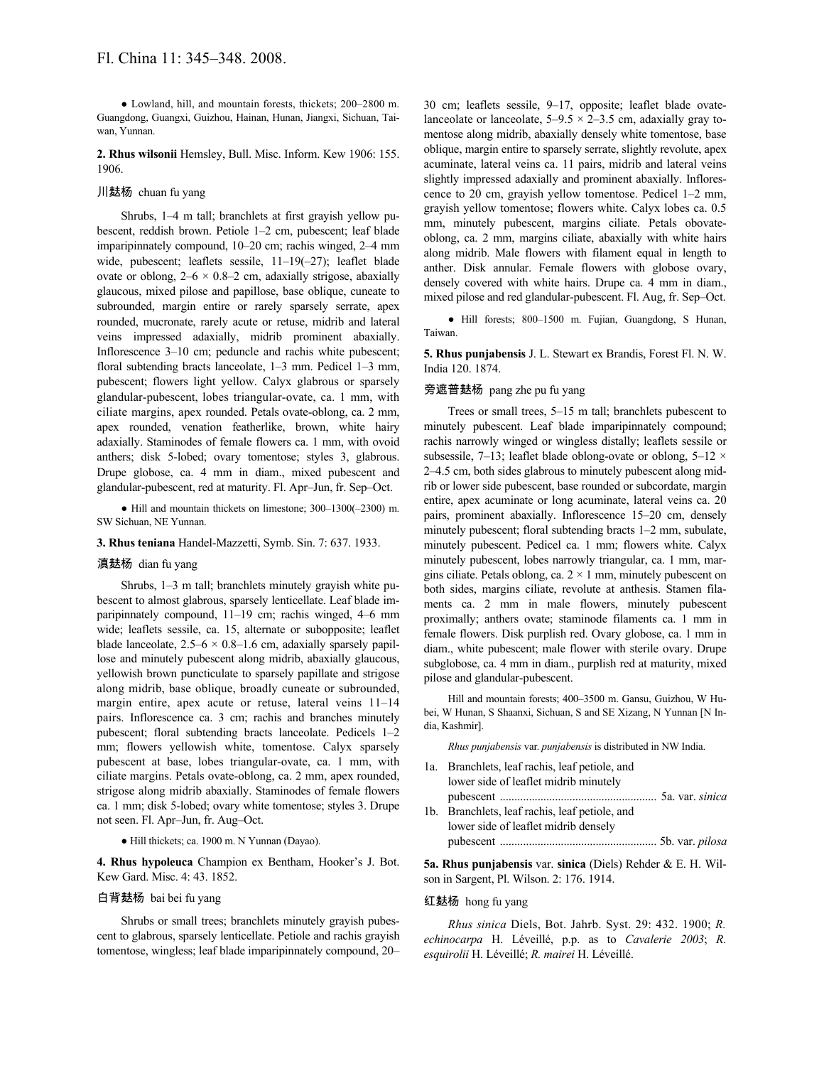● Lowland, hill, and mountain forests, thickets; 200–2800 m. Guangdong, Guangxi, Guizhou, Hainan, Hunan, Jiangxi, Sichuan, Taiwan, Yunnan.

**2. Rhus wilsonii** Hemsley, Bull. Misc. Inform. Kew 1906: 155. 1906.

## 川麸杨 chuan fu yang

Shrubs, 1–4 m tall; branchlets at first grayish yellow pubescent, reddish brown. Petiole 1–2 cm, pubescent; leaf blade imparipinnately compound, 10–20 cm; rachis winged, 2–4 mm wide, pubescent; leaflets sessile, 11-19(-27); leaflet blade ovate or oblong,  $2-6 \times 0.8-2$  cm, adaxially strigose, abaxially glaucous, mixed pilose and papillose, base oblique, cuneate to subrounded, margin entire or rarely sparsely serrate, apex rounded, mucronate, rarely acute or retuse, midrib and lateral veins impressed adaxially, midrib prominent abaxially. Inflorescence 3–10 cm; peduncle and rachis white pubescent; floral subtending bracts lanceolate,  $1-3$  mm. Pedicel  $1-3$  mm, pubescent; flowers light yellow. Calyx glabrous or sparsely glandular-pubescent, lobes triangular-ovate, ca. 1 mm, with ciliate margins, apex rounded. Petals ovate-oblong, ca. 2 mm, apex rounded, venation featherlike, brown, white hairy adaxially. Staminodes of female flowers ca. 1 mm, with ovoid anthers; disk 5-lobed; ovary tomentose; styles 3, glabrous. Drupe globose, ca. 4 mm in diam., mixed pubescent and glandular-pubescent, red at maturity. Fl. Apr–Jun, fr. Sep–Oct.

● Hill and mountain thickets on limestone; 300–1300(–2300) m. SW Sichuan, NE Yunnan.

#### **3. Rhus teniana** Handel-Mazzetti, Symb. Sin. 7: 637. 1933.

#### 滇麸杨 dian fu yang

Shrubs, 1–3 m tall; branchlets minutely grayish white pubescent to almost glabrous, sparsely lenticellate. Leaf blade imparipinnately compound, 11–19 cm; rachis winged, 4–6 mm wide; leaflets sessile, ca. 15, alternate or subopposite; leaflet blade lanceolate,  $2.5-6 \times 0.8-1.6$  cm, adaxially sparsely papillose and minutely pubescent along midrib, abaxially glaucous, yellowish brown puncticulate to sparsely papillate and strigose along midrib, base oblique, broadly cuneate or subrounded, margin entire, apex acute or retuse, lateral veins 11–14 pairs. Inflorescence ca. 3 cm; rachis and branches minutely pubescent; floral subtending bracts lanceolate. Pedicels 1–2 mm; flowers yellowish white, tomentose. Calyx sparsely pubescent at base, lobes triangular-ovate, ca. 1 mm, with ciliate margins. Petals ovate-oblong, ca. 2 mm, apex rounded, strigose along midrib abaxially. Staminodes of female flowers ca. 1 mm; disk 5-lobed; ovary white tomentose; styles 3. Drupe not seen. Fl. Apr–Jun, fr. Aug–Oct.

#### ● Hill thickets; ca. 1900 m. N Yunnan (Dayao).

**4. Rhus hypoleuca** Champion ex Bentham, Hooker's J. Bot. Kew Gard. Misc. 4: 43. 1852.

## 白背麸杨 bai bei fu yang

Shrubs or small trees; branchlets minutely grayish pubescent to glabrous, sparsely lenticellate. Petiole and rachis grayish tomentose, wingless; leaf blade imparipinnately compound, 20– 30 cm; leaflets sessile, 9–17, opposite; leaflet blade ovatelanceolate or lanceolate,  $5-9.5 \times 2-3.5$  cm, adaxially gray tomentose along midrib, abaxially densely white tomentose, base oblique, margin entire to sparsely serrate, slightly revolute, apex acuminate, lateral veins ca. 11 pairs, midrib and lateral veins slightly impressed adaxially and prominent abaxially. Inflorescence to 20 cm, grayish yellow tomentose. Pedicel 1–2 mm, grayish yellow tomentose; flowers white. Calyx lobes ca. 0.5 mm, minutely pubescent, margins ciliate. Petals obovateoblong, ca. 2 mm, margins ciliate, abaxially with white hairs along midrib. Male flowers with filament equal in length to anther. Disk annular. Female flowers with globose ovary, densely covered with white hairs. Drupe ca. 4 mm in diam., mixed pilose and red glandular-pubescent. Fl. Aug, fr. Sep–Oct.

● Hill forests; 800–1500 m. Fujian, Guangdong, S Hunan, Taiwan.

**5. Rhus punjabensis** J. L. Stewart ex Brandis, Forest Fl. N. W. India 120. 1874.

# 旁遮普麸杨 pang zhe pu fu yang

Trees or small trees, 5–15 m tall; branchlets pubescent to minutely pubescent. Leaf blade imparipinnately compound; rachis narrowly winged or wingless distally; leaflets sessile or subsessile, 7–13; leaflet blade oblong-ovate or oblong,  $5-12 \times$ 2–4.5 cm, both sides glabrous to minutely pubescent along midrib or lower side pubescent, base rounded or subcordate, margin entire, apex acuminate or long acuminate, lateral veins ca. 20 pairs, prominent abaxially. Inflorescence 15–20 cm, densely minutely pubescent; floral subtending bracts 1–2 mm, subulate, minutely pubescent. Pedicel ca. 1 mm; flowers white. Calyx minutely pubescent, lobes narrowly triangular, ca. 1 mm, margins ciliate. Petals oblong, ca.  $2 \times 1$  mm, minutely pubescent on both sides, margins ciliate, revolute at anthesis. Stamen filaments ca. 2 mm in male flowers, minutely pubescent proximally; anthers ovate; staminode filaments ca. 1 mm in female flowers. Disk purplish red. Ovary globose, ca. 1 mm in diam., white pubescent; male flower with sterile ovary. Drupe subglobose, ca. 4 mm in diam., purplish red at maturity, mixed pilose and glandular-pubescent.

Hill and mountain forests; 400–3500 m. Gansu, Guizhou, W Hubei, W Hunan, S Shaanxi, Sichuan, S and SE Xizang, N Yunnan [N India, Kashmir].

*Rhus punjabensis* var. *punjabensis* is distributed in NW India.

1a. Branchlets, leaf rachis, leaf petiole, and lower side of leaflet midrib minutely pubescent ...................................................... 5a. var. *sinica* 1b. Branchlets, leaf rachis, leaf petiole, and lower side of leaflet midrib densely pubescent ...................................................... 5b. var. *pilosa*

**5a. Rhus punjabensis** var. **sinica** (Diels) Rehder & E. H. Wilson in Sargent, Pl. Wilson. 2: 176. 1914.

## 红麸杨 hong fu yang

*Rhus sinica* Diels, Bot. Jahrb. Syst. 29: 432. 1900; *R. echinocarpa* H. Léveillé, p.p. as to *Cavalerie 2003*; *R. esquirolii* H. Léveillé; *R. mairei* H. Léveillé.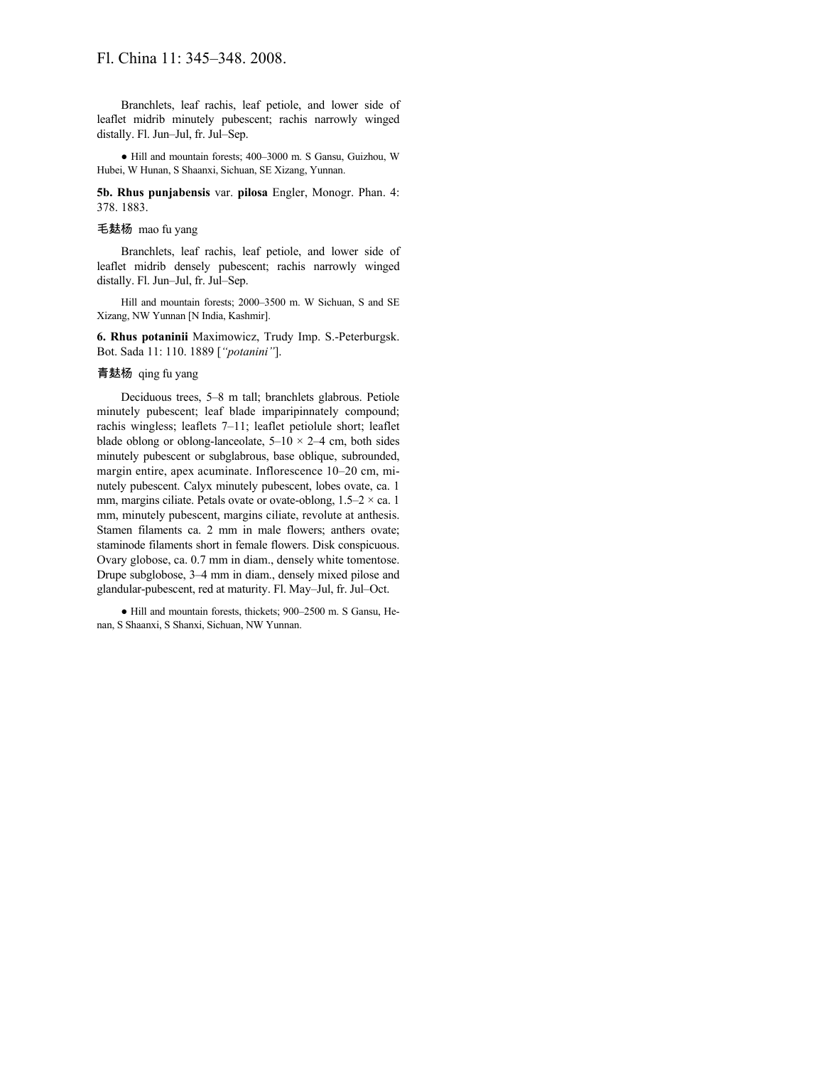Branchlets, leaf rachis, leaf petiole, and lower side of leaflet midrib minutely pubescent; rachis narrowly winged distally. Fl. Jun–Jul, fr. Jul–Sep.

● Hill and mountain forests; 400–3000 m. S Gansu, Guizhou, W Hubei, W Hunan, S Shaanxi, Sichuan, SE Xizang, Yunnan.

**5b. Rhus punjabensis** var. **pilosa** Engler, Monogr. Phan. 4: 378. 1883.

# 毛麸杨 mao fu yang

Branchlets, leaf rachis, leaf petiole, and lower side of leaflet midrib densely pubescent; rachis narrowly winged distally. Fl. Jun–Jul, fr. Jul–Sep.

Hill and mountain forests; 2000–3500 m. W Sichuan, S and SE Xizang, NW Yunnan [N India, Kashmir].

**6. Rhus potaninii** Maximowicz, Trudy Imp. S.-Peterburgsk. Bot. Sada 11: 110. 1889 [*"potanini"*].

# 青麸杨 qing fu yang

Deciduous trees, 5–8 m tall; branchlets glabrous. Petiole minutely pubescent; leaf blade imparipinnately compound; rachis wingless; leaflets 7–11; leaflet petiolule short; leaflet blade oblong or oblong-lanceolate,  $5-10 \times 2-4$  cm, both sides minutely pubescent or subglabrous, base oblique, subrounded, margin entire, apex acuminate. Inflorescence 10–20 cm, minutely pubescent. Calyx minutely pubescent, lobes ovate, ca. 1 mm, margins ciliate. Petals ovate or ovate-oblong,  $1.5-2 \times$  ca. 1 mm, minutely pubescent, margins ciliate, revolute at anthesis. Stamen filaments ca. 2 mm in male flowers; anthers ovate; staminode filaments short in female flowers. Disk conspicuous. Ovary globose, ca. 0.7 mm in diam., densely white tomentose. Drupe subglobose, 3–4 mm in diam., densely mixed pilose and glandular-pubescent, red at maturity. Fl. May–Jul, fr. Jul–Oct.

● Hill and mountain forests, thickets; 900–2500 m. S Gansu, Henan, S Shaanxi, S Shanxi, Sichuan, NW Yunnan.